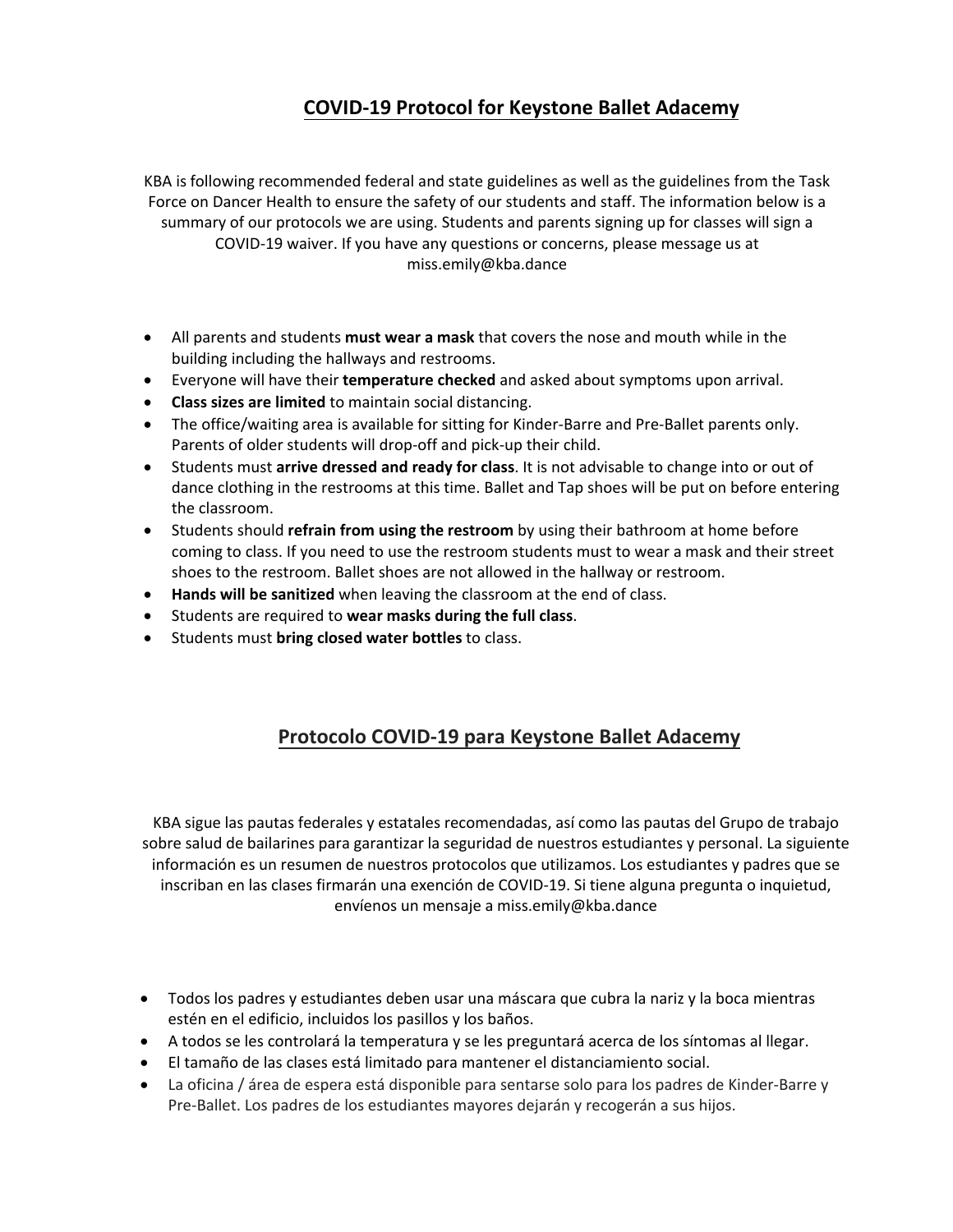## **COVID-19 Protocol for Keystone Ballet Adacemy**

KBA is following recommended federal and state guidelines as well as the guidelines from the Task Force on Dancer Health to ensure the safety of our students and staff. The information below is a summary of our protocols we are using. Students and parents signing up for classes will sign a COVID-19 waiver. If you have any questions or concerns, please message us at miss.emily@kba.dance

- All parents and students **must wear a mask** that covers the nose and mouth while in the building including the hallways and restrooms.
- Everyone will have their **temperature checked** and asked about symptoms upon arrival.
- **Class sizes are limited** to maintain social distancing.
- The office/waiting area is available for sitting for Kinder-Barre and Pre-Ballet parents only. Parents of older students will drop-off and pick-up their child.
- Students must **arrive dressed and ready for class**. It is not advisable to change into or out of dance clothing in the restrooms at this time. Ballet and Tap shoes will be put on before entering the classroom.
- Students should **refrain from using the restroom** by using their bathroom at home before coming to class. If you need to use the restroom students must to wear a mask and their street shoes to the restroom. Ballet shoes are not allowed in the hallway or restroom.
- **Hands will be sanitized** when leaving the classroom at the end of class.
- Students are required to **wear masks during the full class**.
- Students must **bring closed water bottles** to class.

## **Protocolo COVID-19 para Keystone Ballet Adacemy**

KBA sigue las pautas federales y estatales recomendadas, así como las pautas del Grupo de trabajo sobre salud de bailarines para garantizar la seguridad de nuestros estudiantes y personal. La siguiente información es un resumen de nuestros protocolos que utilizamos. Los estudiantes y padres que se inscriban en las clases firmarán una exención de COVID-19. Si tiene alguna pregunta o inquietud, envíenos un mensaje a miss.emily@kba.dance

- Todos los padres y estudiantes deben usar una máscara que cubra la nariz y la boca mientras estén en el edificio, incluidos los pasillos y los baños.
- A todos se les controlará la temperatura y se les preguntará acerca de los síntomas al llegar.
- El tamaño de las clases está limitado para mantener el distanciamiento social.
- La oficina / área de espera está disponible para sentarse solo para los padres de Kinder-Barre y Pre-Ballet. Los padres de los estudiantes mayores dejarán y recogerán a sus hijos.